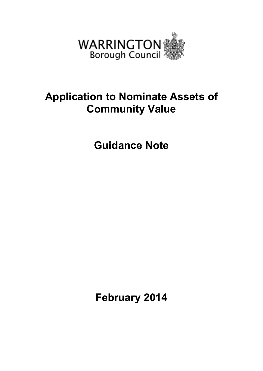

# **Application to Nominate Assets of Community Value**

**Guidance Note** 

**February 2014**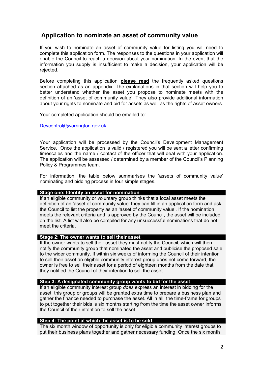# **Application to nominate an asset of community value**

If you wish to nominate an asset of community value for listing you will need to complete this application form. The responses to the questions in your application will enable the Council to reach a decision about your nomination. In the event that the information you supply is insufficient to make a decision, your application will be rejected.

Before completing this application **please read** the frequently asked questions section attached as an appendix. The explanations in that section will help you to better understand whether the asset you propose to nominate meets with the definition of an 'asset of community value'. They also provide additional information about your rights to nominate and bid for assets as well as the rights of asset owners.

Your completed application should be emailed to:

Devcontrol@warrington.gov.uk.

Your application will be processed by the Council's Development Management Service. Once the application is valid / registered you will be sent a letter confirming timescales and the name / contact of the officer that will deal with your application. The application will be assessed / determined by a member of the Council's Planning Policy & Programmes team.

For information, the table below summarises the 'assets of community value' nominating and bidding process in four simple stages.

#### **Stage one: Identify an asset for nomination**

If an eligible community or voluntary group thinks that a local asset meets the definition of an 'asset of community value' they can fill in an application form and ask the Council to list the property as an 'asset of community value'. If the nomination meets the relevant criteria and is approved by the Council, the asset will be included on the list. A list will also be compiled for any unsuccessful nominations that do not meet the criteria.

# **Stage 2: The owner wants to sell their asset**

If the owner wants to sell their asset they must notify the Council, which will then notify the community group that nominated the asset and publicise the proposed sale to the wider community. If within six weeks of informing the Council of their intention to sell their asset an eligible community interest group does not come forward, the owner is free to sell their asset for a period of eighteen months from the date that they notified the Council of their intention to sell the asset.

#### **Step 3: A designated community group wants to bid for the asset**

If an eligible community interest group *does* express an interest in bidding for the asset, this group or groups will be granted extra time to prepare a business plan and gather the finance needed to purchase the asset. All in all, the time-frame for groups to put together their bids is six months starting from the time the asset owner informs the Council of their intention to sell the asset.

# **Step 4: The point at which the asset is to be sold**

The six month window of opportunity is only for eligible community interest groups to put their business plans together and gather necessary funding. Once the six month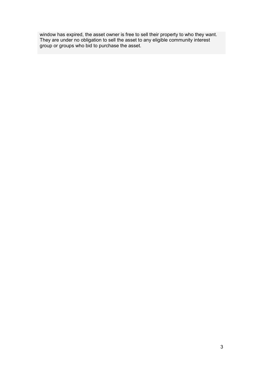window has expired, the asset owner is free to sell their property to who they want. They are under no obligation to sell the asset to any eligible community interest group or groups who bid to purchase the asset.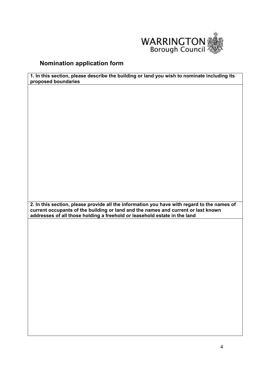

# **Nomination application form**

**1. In this section, please describe the building or land you wish to nominate including its proposed boundaries** 

**2. In this section, please provide all the information you have with regard to the names of current occupants of the building or land and the names and current or last known addresses of all those holding a freehold or leasehold estate in the land**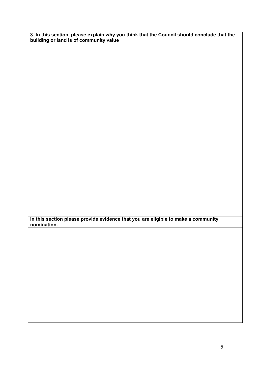**3. In this section, please explain why you think that the Council should conclude that the building or land is of community value** 

**In this section please provide evidence that you are eligible to make a community nomination.**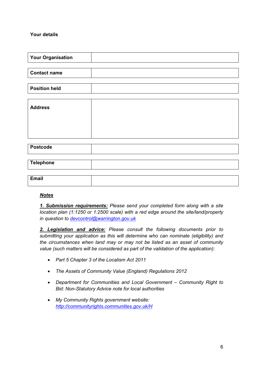# **Your details**

| <b>Your Organisation</b> |  |
|--------------------------|--|
|                          |  |
| <b>Contact name</b>      |  |
|                          |  |
| <b>Position held</b>     |  |
|                          |  |
| <b>Address</b>           |  |
|                          |  |
|                          |  |
|                          |  |
|                          |  |
|                          |  |
|                          |  |
| <b>Postcode</b>          |  |
|                          |  |
| <b>Telephone</b>         |  |
|                          |  |
|                          |  |
| <b>Email</b>             |  |

# *Notes*

*1. Submission requirements: Please send your completed form along with a site location plan (1:1250 or 1:2500 scale) with a red edge around the site/land/property in question to devcontrol@warrington.gov.uk*

*2. Legislation and advice: Please consult the following documents prior to submitting your application as this will determine who can nominate (eligibility) and the circumstances when land may or may not be listed as an asset of community value (such matters will be considered as part of the validation of the application):* 

- *Part 5 Chapter 3 of the Localism Act 2011*
- *The Assets of Community Value (England) Regulations 2012*
- *Department for Communities and Local Government Community Right to Bid: Non-Statutory Advice note for local authorities*
- *My Community Rights government website: http://communityrights.communities.gov.uk/H*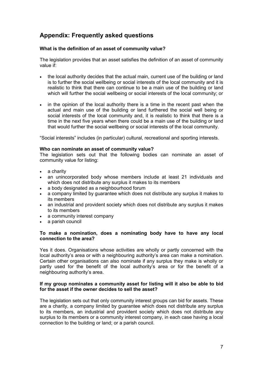# **Appendix: Frequently asked questions**

# **What is the definition of an asset of community value?**

The legislation provides that an asset satisfies the definition of an asset of community value if:

- the local authority decides that the actual main, current use of the building or land is to further the social wellbeing or social interests of the local community and it is realistic to think that there can continue to be a main use of the building or land which will further the social wellbeing or social interests of the local community; or
- in the opinion of the local authority there is a time in the recent past when the actual and main use of the building or land furthered the social well being or social interests of the local community and, it is realistic to think that there is a time in the next five years when there could be a main use of the building or land that would further the social wellbeing or social interests of the local community.

"Social interests" includes (in particular) cultural, recreational and sporting interests.

#### **Who can nominate an asset of community value?**

The legislation sets out that the following bodies can nominate an asset of community value for listing:

- a charity
- an unincorporated body whose members include at least 21 individuals and which does not distribute any surplus it makes to its members
- a body designated as a neighbourhood forum
- a company limited by guarantee which does not distribute any surplus it makes to its members
- an industrial and provident society which does not distribute any surplus it makes to its members
- a community interest company
- a parish council

# **To make a nomination, does a nominating body have to have any local connection to the area?**

Yes it does. Organisations whose activities are wholly or partly concerned with the local authority's area or with a neighbouring authority's area can make a nomination. Certain other organisations can also nominate if any surplus they make is wholly or partly used for the benefit of the local authority's area or for the benefit of a neighbouring authority's area.

## **If my group nominates a community asset for listing will it also be able to bid for the asset if the owner decides to sell the asset?**

The legislation sets out that only community interest groups can bid for assets. These are a charity, a company limited by guarantee which does not distribute any surplus to its members, an industrial and provident society which does not distribute any surplus to its members or a community interest company, in each case having a local connection to the building or land; or a parish council.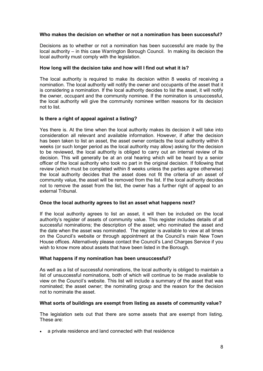## **Who makes the decision on whether or not a nomination has been successful?**

Decisions as to whether or not a nomination has been successful are made by the local authority – in this case Warrington Borough Council. In making its decision the local authority must comply with the legislation.

#### **How long will the decision take and how will I find out what it is?**

The local authority is required to make its decision within 8 weeks of receiving a nomination. The local authority will notify the owner and occupants of the asset that it is considering a nomination. If the local authority decides to list the asset, it will notify the owner, occupant and the community nominee. If the nomination is unsuccessful, the local authority will give the community nominee written reasons for its decision not to list.

## **Is there a right of appeal against a listing?**

Yes there is. At the time when the local authority makes its decision it will take into consideration all relevant and available information. However, if after the decision has been taken to list an asset, the asset owner contacts the local authority within 8 weeks (or such longer period as the local authority may allow) asking for the decision to be reviewed, the local authority is obliged to carry out an internal review of its decision. This will generally be at an oral hearing which will be heard by a senior officer of the local authority who took no part in the original decision. If following that review (which must be completed within 8 weeks unless the parties agree otherwise) the local authority decides that the asset does not fit the criteria of an asset of community value, the asset will be removed from the list. If the local authority decides not to remove the asset from the list, the owner has a further right of appeal to an external Tribunal.

#### **Once the local authority agrees to list an asset what happens next?**

If the local authority agrees to list an asset, it will then be included on the local authority's register of assets of community value. This register includes details of all successful nominations; the description of the asset; who nominated the asset and the date when the asset was nominated. The register is available to view at all times on the Council's website or through appointment at the Council's main New Town House offices. Alternatively please contact the Council's Land Charges Service if you wish to know more about assets that have been listed in the Borough.

#### **What happens if my nomination has been unsuccessful?**

As well as a list of successful nominations, the local authority is obliged to maintain a list of unsuccessful nominations, both of which will continue to be made available to view on the Council's website. This list will include a summary of the asset that was nominated; the asset owner; the nominating group and the reason for the decision not to nominate the asset.

# **What sorts of buildings are exempt from listing as assets of community value?**

The legislation sets out that there are some assets that are exempt from listing. These are:

• a private residence and land connected with that residence